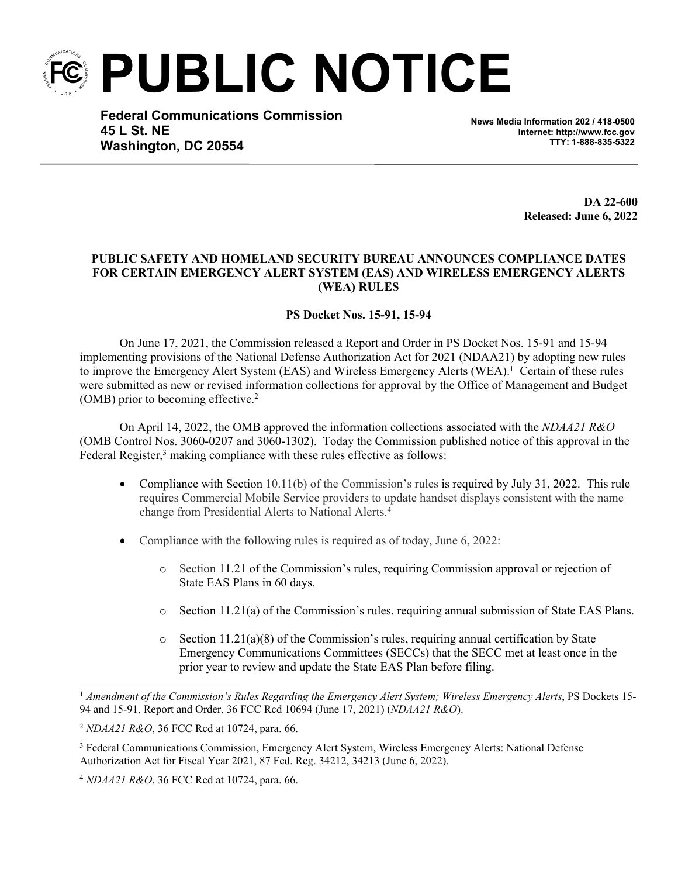**PUBLIC NOTICE**

**Federal Communications Commission 45 L St. NE Washington, DC 20554**

**News Media Information 202 / 418-0500 Internet: http://www.fcc.gov TTY: 1-888-835-5322**

> **DA 22-600 Released: June 6, 2022**

## **PUBLIC SAFETY AND HOMELAND SECURITY BUREAU ANNOUNCES COMPLIANCE DATES FOR CERTAIN EMERGENCY ALERT SYSTEM (EAS) AND WIRELESS EMERGENCY ALERTS (WEA) RULES**

## **PS Docket Nos. 15-91, 15-94**

On June 17, 2021, the Commission released a Report and Order in PS Docket Nos. 15-91 and 15-94 implementing provisions of the National Defense Authorization Act for 2021 (NDAA21) by adopting new rules to improve the Emergency Alert System (EAS) and Wireless Emergency Alerts (WEA).<sup>1</sup> Certain of these rules were submitted as new or revised information collections for approval by the Office of Management and Budget (OMB) prior to becoming effective.<sup>2</sup>

On April 14, 2022, the OMB approved the information collections associated with the *NDAA21 R&O* (OMB Control Nos. 3060-0207 and 3060-1302). Today the Commission published notice of this approval in the Federal Register,<sup>3</sup> making compliance with these rules effective as follows:

- Compliance with Section 10.11(b) of the Commission's rules is required by July 31, 2022. This rule requires Commercial Mobile Service providers to update handset displays consistent with the name change from Presidential Alerts to National Alerts.<sup>4</sup>
- Compliance with the following rules is required as of today, June 6, 2022:
	- o Section 11.21 of the Commission's rules, requiring Commission approval or rejection of State EAS Plans in 60 days.
	- o Section 11.21(a) of the Commission's rules, requiring annual submission of State EAS Plans.
	- $\circ$  Section 11.21(a)(8) of the Commission's rules, requiring annual certification by State Emergency Communications Committees (SECCs) that the SECC met at least once in the prior year to review and update the State EAS Plan before filing.

<sup>1</sup> *Amendment of the Commission's Rules Regarding the Emergency Alert System; Wireless Emergency Alerts*, PS Dockets 15- 94 and 15-91, Report and Order, 36 FCC Rcd 10694 (June 17, 2021) (*NDAA21 R&O*).

<sup>2</sup> *NDAA21 R&O*, 36 FCC Rcd at 10724, para. 66.

<sup>3</sup> Federal Communications Commission, Emergency Alert System, Wireless Emergency Alerts: National Defense Authorization Act for Fiscal Year 2021, 87 Fed. Reg. 34212, 34213 (June 6, 2022).

<sup>4</sup> *NDAA21 R&O*, 36 FCC Rcd at 10724, para. 66.